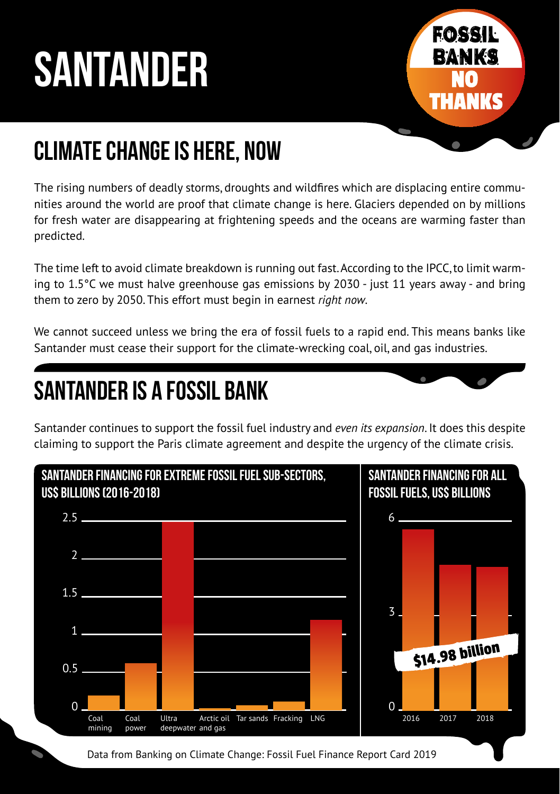# **SANTANDER**



## Climate Change is here, now

The rising numbers of deadly storms, droughts and wildfires which are displacing entire communities around the world are proof that climate change is here. Glaciers depended on by millions for fresh water are disappearing at frightening speeds and the oceans are warming faster than predicted.

The time left to avoid climate breakdown is running out fast. According to the IPCC, to limit warming to 1.5°C we must halve greenhouse gas emissions by 2030 - just 11 years away - and bring them to zero by 2050. This effort must begin in earnest *right now*.

We cannot succeed unless we bring the era of fossil fuels to a rapid end. This means banks like Santander must cease their support for the climate-wrecking coal, oil, and gas industries.

## Santander is a Fossil Bank

Santander continues to support the fossil fuel industry and *even its expansion*. It does this despite claiming to support the Paris climate agreement and despite the urgency of the climate crisis.



Data from Banking on Climate Change: Fossil Fuel Finance Report Card 2019